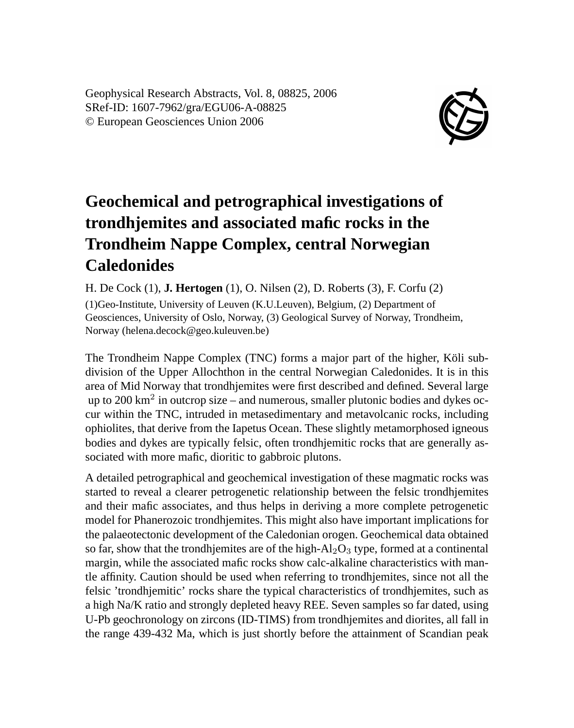Geophysical Research Abstracts, Vol. 8, 08825, 2006 SRef-ID: 1607-7962/gra/EGU06-A-08825 © European Geosciences Union 2006



## **Geochemical and petrographical investigations of trondhjemites and associated mafic rocks in the Trondheim Nappe Complex, central Norwegian Caledonides**

H. De Cock (1), **J. Hertogen** (1), O. Nilsen (2), D. Roberts (3), F. Corfu (2) (1)Geo-Institute, University of Leuven (K.U.Leuven), Belgium, (2) Department of Geosciences, University of Oslo, Norway, (3) Geological Survey of Norway, Trondheim, Norway (helena.decock@geo.kuleuven.be)

The Trondheim Nappe Complex (TNC) forms a major part of the higher, Köli subdivision of the Upper Allochthon in the central Norwegian Caledonides. It is in this area of Mid Norway that trondhjemites were first described and defined. Several large up to 200  $\text{km}^2$  in outcrop size – and numerous, smaller plutonic bodies and dykes occur within the TNC, intruded in metasedimentary and metavolcanic rocks, including ophiolites, that derive from the Iapetus Ocean. These slightly metamorphosed igneous bodies and dykes are typically felsic, often trondhjemitic rocks that are generally associated with more mafic, dioritic to gabbroic plutons.

A detailed petrographical and geochemical investigation of these magmatic rocks was started to reveal a clearer petrogenetic relationship between the felsic trondhjemites and their mafic associates, and thus helps in deriving a more complete petrogenetic model for Phanerozoic trondhjemites. This might also have important implications for the palaeotectonic development of the Caledonian orogen. Geochemical data obtained so far, show that the trondhjemites are of the high- $Al_2O_3$  type, formed at a continental margin, while the associated mafic rocks show calc-alkaline characteristics with mantle affinity. Caution should be used when referring to trondhjemites, since not all the felsic 'trondhjemitic' rocks share the typical characteristics of trondhjemites, such as a high Na/K ratio and strongly depleted heavy REE. Seven samples so far dated, using U-Pb geochronology on zircons (ID-TIMS) from trondhjemites and diorites, all fall in the range 439-432 Ma, which is just shortly before the attainment of Scandian peak